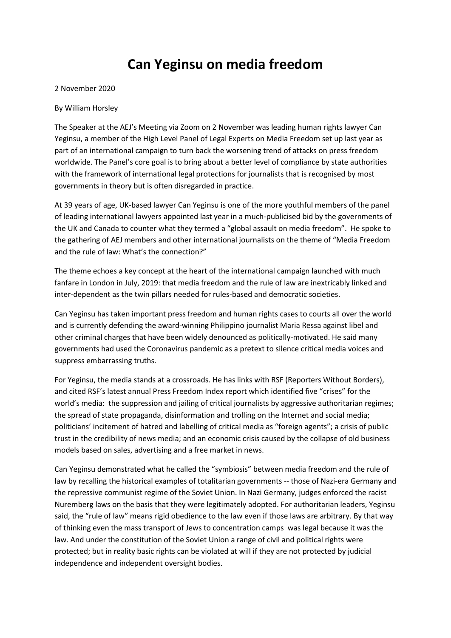## **Can Yeginsu on media freedom**

## 2 November 2020

## By William Horsley

The Speaker at the AEJ's Meeting via Zoom on 2 November was leading human rights lawyer Can Yeginsu, a member of the High Level Panel of Legal Experts on Media Freedom set up last year as part of an international campaign to turn back the worsening trend of attacks on press freedom worldwide. The Panel's core goal is to bring about a better level of compliance by state authorities with the framework of international legal protections for journalists that is recognised by most governments in theory but is often disregarded in practice.

At 39 years of age, UK-based lawyer Can Yeginsu is one of the more youthful members of the panel of leading international lawyers appointed last year in a much-publicised bid by the governments of the UK and Canada to counter what they termed a "global assault on media freedom". He spoke to the gathering of AEJ members and other international journalists on the theme of "Media Freedom and the rule of law: What's the connection?"

The theme echoes a key concept at the heart of the international campaign launched with much fanfare in London in July, 2019: that media freedom and the rule of law are inextricably linked and inter-dependent as the twin pillars needed for rules-based and democratic societies.

Can Yeginsu has taken important press freedom and human rights cases to courts all over the world and is currently defending the award-winning Philippino journalist Maria Ressa against libel and other criminal charges that have been widely denounced as politically-motivated. He said many governments had used the Coronavirus pandemic as a pretext to silence critical media voices and suppress embarrassing truths.

For Yeginsu, the media stands at a crossroads. He has links with RSF (Reporters Without Borders), and cited RSF's latest annual Press Freedom Index report which identified five "crises" for the world's media: the suppression and jailing of critical journalists by aggressive authoritarian regimes; the spread of state propaganda, disinformation and trolling on the Internet and social media; politicians' incitement of hatred and labelling of critical media as "foreign agents"; a crisis of public trust in the credibility of news media; and an economic crisis caused by the collapse of old business models based on sales, advertising and a free market in news.

Can Yeginsu demonstrated what he called the "symbiosis" between media freedom and the rule of law by recalling the historical examples of totalitarian governments -- those of Nazi-era Germany and the repressive communist regime of the Soviet Union. In Nazi Germany, judges enforced the racist Nuremberg laws on the basis that they were legitimately adopted. For authoritarian leaders, Yeginsu said, the "rule of law" means rigid obedience to the law even if those laws are arbitrary. By that way of thinking even the mass transport of Jews to concentration camps was legal because it was the law. And under the constitution of the Soviet Union a range of civil and political rights were protected; but in reality basic rights can be violated at will if they are not protected by judicial independence and independent oversight bodies.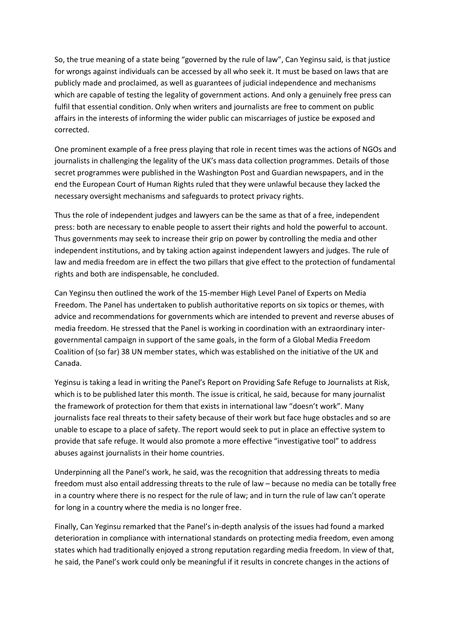So, the true meaning of a state being "governed by the rule of law", Can Yeginsu said, is that justice for wrongs against individuals can be accessed by all who seek it. It must be based on laws that are publicly made and proclaimed, as well as guarantees of judicial independence and mechanisms which are capable of testing the legality of government actions. And only a genuinely free press can fulfil that essential condition. Only when writers and journalists are free to comment on public affairs in the interests of informing the wider public can miscarriages of justice be exposed and corrected.

One prominent example of a free press playing that role in recent times was the actions of NGOs and journalists in challenging the legality of the UK's mass data collection programmes. Details of those secret programmes were published in the Washington Post and Guardian newspapers, and in the end the European Court of Human Rights ruled that they were unlawful because they lacked the necessary oversight mechanisms and safeguards to protect privacy rights.

Thus the role of independent judges and lawyers can be the same as that of a free, independent press: both are necessary to enable people to assert their rights and hold the powerful to account. Thus governments may seek to increase their grip on power by controlling the media and other independent institutions, and by taking action against independent lawyers and judges. The rule of law and media freedom are in effect the two pillars that give effect to the protection of fundamental rights and both are indispensable, he concluded.

Can Yeginsu then outlined the work of the 15-member High Level Panel of Experts on Media Freedom. The Panel has undertaken to publish authoritative reports on six topics or themes, with advice and recommendations for governments which are intended to prevent and reverse abuses of media freedom. He stressed that the Panel is working in coordination with an extraordinary intergovernmental campaign in support of the same goals, in the form of a Global Media Freedom Coalition of (so far) 38 UN member states, which was established on the initiative of the UK and Canada.

Yeginsu is taking a lead in writing the Panel's Report on Providing Safe Refuge to Journalists at Risk, which is to be published later this month. The issue is critical, he said, because for many journalist the framework of protection for them that exists in international law "doesn't work". Many journalists face real threats to their safety because of their work but face huge obstacles and so are unable to escape to a place of safety. The report would seek to put in place an effective system to provide that safe refuge. It would also promote a more effective "investigative tool" to address abuses against journalists in their home countries.

Underpinning all the Panel's work, he said, was the recognition that addressing threats to media freedom must also entail addressing threats to the rule of law – because no media can be totally free in a country where there is no respect for the rule of law; and in turn the rule of law can't operate for long in a country where the media is no longer free.

Finally, Can Yeginsu remarked that the Panel's in-depth analysis of the issues had found a marked deterioration in compliance with international standards on protecting media freedom, even among states which had traditionally enjoyed a strong reputation regarding media freedom. In view of that, he said, the Panel's work could only be meaningful if it results in concrete changes in the actions of